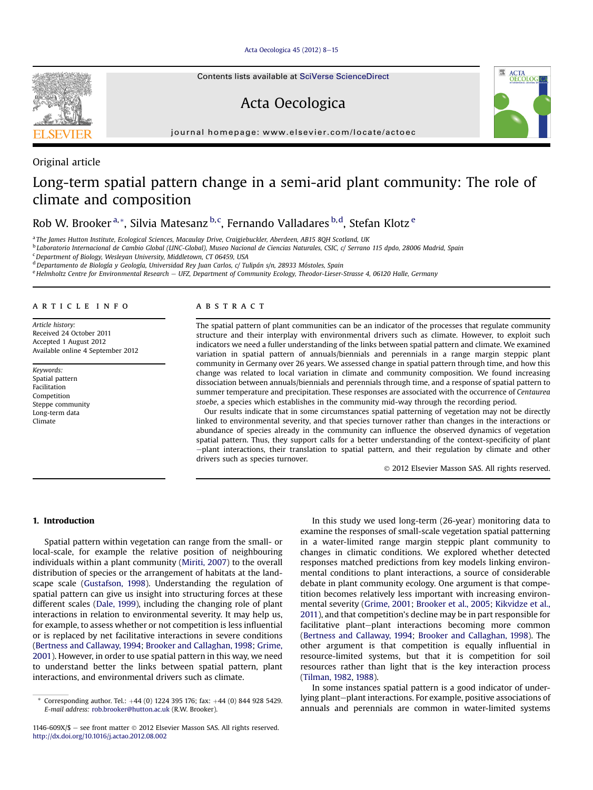[Acta Oecologica 45 \(2012\) 8](http://dx.doi.org/10.1016/j.actao.2012.08.002)-[15](http://dx.doi.org/10.1016/j.actao.2012.08.002)

Contents lists available at SciVerse ScienceDirect

# Acta Oecologica



Original article

# Long-term spatial pattern change in a semi-arid plant community: The role of climate and composition

Rob W. Brooker<sup>a,</sup>\*, Silvia Matesanz <sup>b, c</sup>, Fernando Valladares <sup>b, d</sup>, Stefan Klotz <sup>e</sup>

a The James Hutton Institute, Ecological Sciences, Macaulay Drive, Craigiebuckler, Aberdeen, AB15 8QH Scotland, UK

<sup>b</sup> Laboratorio Internacional de Cambio Global (LINC-Global), Museo Nacional de Ciencias Naturales, CSIC, c/ Serrano 115 dpdo, 28006 Madrid, Spain

<sup>c</sup> Department of Biology, Wesleyan University, Middletown, CT 06459, USA

<sup>d</sup> Departamento de Biología y Geología, Universidad Rey Juan Carlos, c/ Tulipán s/n, 28933 Móstoles, Spain

e Helmholtz Centre for Environmental Research - UFZ, Department of Community Ecology, Theodor-Lieser-Strasse 4, 06120 Halle, Germany

## article info

Article history: Received 24 October 2011 Accepted 1 August 2012 Available online 4 September 2012

Keywords: Spatial pattern Facilitation Competition Steppe community Long-term data Climate

## **ABSTRACT**

The spatial pattern of plant communities can be an indicator of the processes that regulate community structure and their interplay with environmental drivers such as climate. However, to exploit such indicators we need a fuller understanding of the links between spatial pattern and climate. We examined variation in spatial pattern of annuals/biennials and perennials in a range margin steppic plant community in Germany over 26 years. We assessed change in spatial pattern through time, and how this change was related to local variation in climate and community composition. We found increasing dissociation between annuals/biennials and perennials through time, and a response of spatial pattern to summer temperature and precipitation. These responses are associated with the occurrence of Centaurea stoebe, a species which establishes in the community mid-way through the recording period.

Our results indicate that in some circumstances spatial patterning of vegetation may not be directly linked to environmental severity, and that species turnover rather than changes in the interactions or abundance of species already in the community can influence the observed dynamics of vegetation spatial pattern. Thus, they support calls for a better understanding of the context-specificity of plant  $-$ plant interactions, their translation to spatial pattern, and their regulation by climate and other drivers such as species turnover.

2012 Elsevier Masson SAS. All rights reserved.

## 1. Introduction

Spatial pattern within vegetation can range from the small- or local-scale, for example the relative position of neighbouring individuals within a plant community ([Miriti, 2007\)](#page-7-0) to the overall distribution of species or the arrangement of habitats at the landscape scale [\(Gustafson, 1998](#page-7-0)). Understanding the regulation of spatial pattern can give us insight into structuring forces at these different scales ([Dale, 1999](#page-7-0)), including the changing role of plant interactions in relation to environmental severity. It may help us, for example, to assess whether or not competition is less influential or is replaced by net facilitative interactions in severe conditions ([Bertness and Callaway, 1994;](#page-7-0) [Brooker and Callaghan, 1998;](#page-7-0) [Grime,](#page-7-0) [2001\)](#page-7-0). However, in order to use spatial pattern in this way, we need to understand better the links between spatial pattern, plant interactions, and environmental drivers such as climate.

In this study we used long-term (26-year) monitoring data to examine the responses of small-scale vegetation spatial patterning in a water-limited range margin steppic plant community to changes in climatic conditions. We explored whether detected responses matched predictions from key models linking environmental conditions to plant interactions, a source of considerable debate in plant community ecology. One argument is that competition becomes relatively less important with increasing environmental severity [\(Grime, 2001](#page-7-0); [Brooker et al., 2005](#page-7-0); [Kikvidze et al.,](#page-7-0) [2011\)](#page-7-0), and that competition's decline may be in part responsible for facilitative plant-plant interactions becoming more common ([Bertness and Callaway, 1994](#page-7-0); [Brooker and Callaghan, 1998\)](#page-7-0). The other argument is that competition is equally influential in resource-limited systems, but that it is competition for soil resources rather than light that is the key interaction process ([Tilman, 1982](#page-7-0), [1988](#page-7-0)).

In some instances spatial pattern is a good indicator of underlying plant-plant interactions. For example, positive associations of annuals and perennials are common in water-limited systems



Corresponding author. Tel.:  $+44$  (0) 1224 395 176; fax:  $+44$  (0) 844 928 5429. E-mail address: [rob.brooker@hutton.ac.uk](mailto:rob.brooker@hutton.ac.uk) (R.W. Brooker).

<sup>1146-609</sup>X/\$  $-$  see front matter  $\odot$  2012 Elsevier Masson SAS. All rights reserved. <http://dx.doi.org/10.1016/j.actao.2012.08.002>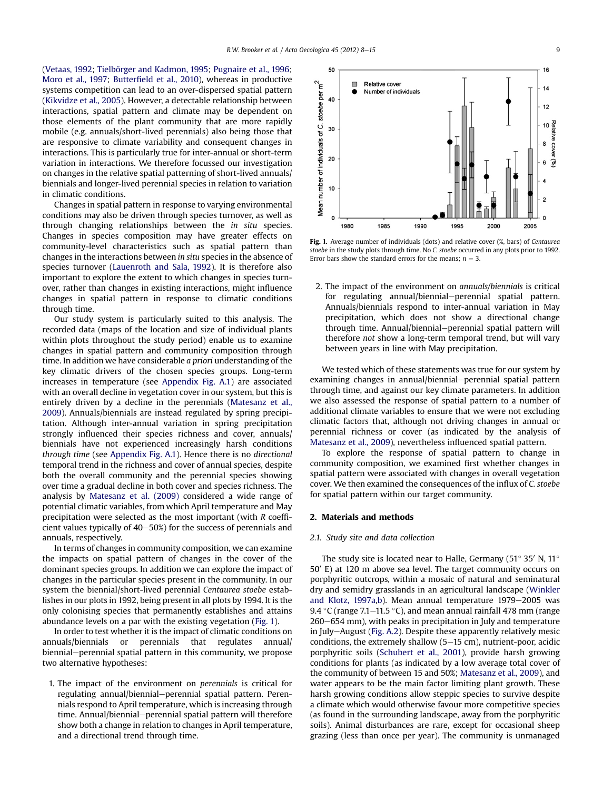<span id="page-1-0"></span>([Vetaas, 1992;](#page-7-0) [Tielbörger and Kadmon, 1995](#page-7-0); [Pugnaire et al., 1996;](#page-7-0) [Moro et al., 1997;](#page-7-0) Butterfi[eld et al., 2010](#page-7-0)), whereas in productive systems competition can lead to an over-dispersed spatial pattern ([Kikvidze et al., 2005](#page-7-0)). However, a detectable relationship between interactions, spatial pattern and climate may be dependent on those elements of the plant community that are more rapidly mobile (e.g. annuals/short-lived perennials) also being those that are responsive to climate variability and consequent changes in interactions. This is particularly true for inter-annual or short-term variation in interactions. We therefore focussed our investigation on changes in the relative spatial patterning of short-lived annuals/ biennials and longer-lived perennial species in relation to variation in climatic conditions.

Changes in spatial pattern in response to varying environmental conditions may also be driven through species turnover, as well as through changing relationships between the in situ species. Changes in species composition may have greater effects on community-level characteristics such as spatial pattern than changes in the interactions between in situ species in the absence of species turnover [\(Lauenroth and Sala, 1992](#page-7-0)). It is therefore also important to explore the extent to which changes in species turnover, rather than changes in existing interactions, might influence changes in spatial pattern in response to climatic conditions through time.

Our study system is particularly suited to this analysis. The recorded data (maps of the location and size of individual plants within plots throughout the study period) enable us to examine changes in spatial pattern and community composition through time. In addition we have considerable a priori understanding of the key climatic drivers of the chosen species groups. Long-term increases in temperature (see [Appendix Fig. A.1\)](#page-6-0) are associated with an overall decline in vegetation cover in our system, but this is entirely driven by a decline in the perennials ([Matesanz et al.,](#page-7-0) [2009\)](#page-7-0). Annuals/biennials are instead regulated by spring precipitation. Although inter-annual variation in spring precipitation strongly influenced their species richness and cover, annuals/ biennials have not experienced increasingly harsh conditions through time (see [Appendix Fig. A.1](#page-6-0)). Hence there is no directional temporal trend in the richness and cover of annual species, despite both the overall community and the perennial species showing over time a gradual decline in both cover and species richness. The analysis by [Matesanz et al. \(2009\)](#page-7-0) considered a wide range of potential climatic variables, from which April temperature and May precipitation were selected as the most important (with R coefficient values typically of  $40-50%$ ) for the success of perennials and annuals, respectively.

In terms of changes in community composition, we can examine the impacts on spatial pattern of changes in the cover of the dominant species groups. In addition we can explore the impact of changes in the particular species present in the community. In our system the biennial/short-lived perennial Centaurea stoebe establishes in our plots in 1992, being present in all plots by 1994. It is the only colonising species that permanently establishes and attains abundance levels on a par with the existing vegetation (Fig. 1).

In order to test whether it is the impact of climatic conditions on annuals/biennials or perennials that regulates annual/ biennial–perennial spatial pattern in this community, we propose two alternative hypotheses:

1. The impact of the environment on perennials is critical for regulating annual/biennial-perennial spatial pattern. Perennials respond to April temperature, which is increasing through time. Annual/biennial-perennial spatial pattern will therefore show both a change in relation to changes in April temperature, and a directional trend through time.



Fig. 1. Average number of individuals (dots) and relative cover  $(\%)$  bars) of Centaurea stoebe in the study plots through time. No C. stoebe occurred in any plots prior to 1992. Error bars show the standard errors for the means:  $n = 3$ .

2. The impact of the environment on annuals/biennials is critical for regulating annual/biennial-perennial spatial pattern. Annuals/biennials respond to inter-annual variation in May precipitation, which does not show a directional change through time. Annual/biennial-perennial spatial pattern will therefore not show a long-term temporal trend, but will vary between years in line with May precipitation.

We tested which of these statements was true for our system by examining changes in annual/biennial-perennial spatial pattern through time, and against our key climate parameters. In addition we also assessed the response of spatial pattern to a number of additional climate variables to ensure that we were not excluding climatic factors that, although not driving changes in annual or perennial richness or cover (as indicated by the analysis of [Matesanz et al., 2009\)](#page-7-0), nevertheless influenced spatial pattern.

To explore the response of spatial pattern to change in community composition, we examined first whether changes in spatial pattern were associated with changes in overall vegetation cover. We then examined the consequences of the influx of C. stoebe for spatial pattern within our target community.

## 2. Materials and methods

#### 2.1. Study site and data collection

The study site is located near to Halle, Germany (51 $^{\circ}$  35' N, 11 $^{\circ}$  $50'$  E) at 120 m above sea level. The target community occurs on porphyritic outcrops, within a mosaic of natural and seminatural dry and semidry grasslands in an agricultural landscape ([Winkler](#page-7-0) [and Klotz, 1997a,b\)](#page-7-0). Mean annual temperature  $1979-2005$  was 9.4 °C (range 7.1–11.5 °C), and mean annual rainfall 478 mm (range  $260-654$  mm), with peaks in precipitation in July and temperature in July-August [\(Fig. A.2](#page-6-0)). Despite these apparently relatively mesic conditions, the extremely shallow  $(5-15 \text{ cm})$ , nutrient-poor, acidic porphyritic soils ([Schubert et al., 2001](#page-7-0)), provide harsh growing conditions for plants (as indicated by a low average total cover of the community of between 15 and 50%; [Matesanz et al., 2009](#page-7-0)), and water appears to be the main factor limiting plant growth. These harsh growing conditions allow steppic species to survive despite a climate which would otherwise favour more competitive species (as found in the surrounding landscape, away from the porphyritic soils). Animal disturbances are rare, except for occasional sheep grazing (less than once per year). The community is unmanaged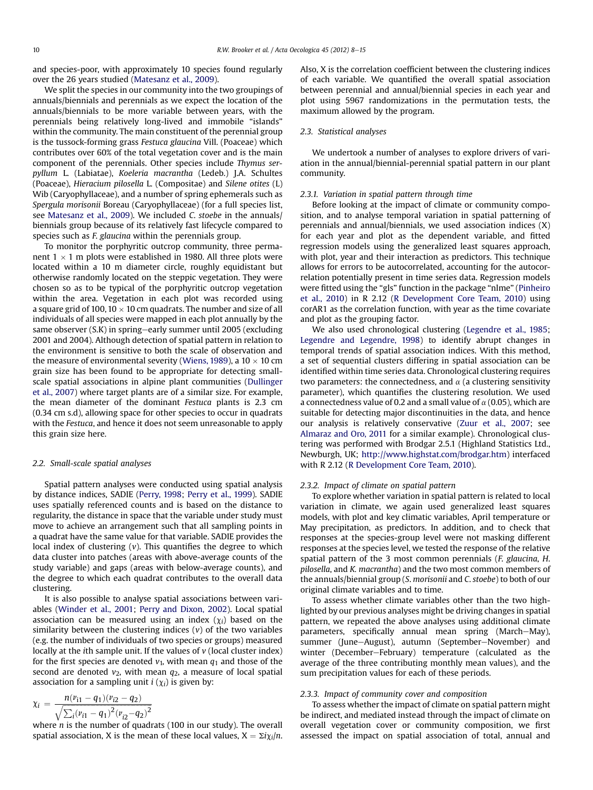and species-poor, with approximately 10 species found regularly over the 26 years studied ([Matesanz et al., 2009](#page-7-0)).

We split the species in our community into the two groupings of annuals/biennials and perennials as we expect the location of the annuals/biennials to be more variable between years, with the perennials being relatively long-lived and immobile "islands" within the community. The main constituent of the perennial group is the tussock-forming grass Festuca glaucina Vill. (Poaceae) which contributes over 60% of the total vegetation cover and is the main component of the perennials. Other species include Thymus serpyllum L. (Labiatae), Koeleria macrantha (Ledeb.) J.A. Schultes (Poaceae), Hieracium pilosella L. (Compositae) and Silene otites (L) Wib (Caryophyllaceae), and a number of spring ephemerals such as Spergula morisonii Boreau (Caryophyllaceae) (for a full species list, see [Matesanz et al., 2009](#page-7-0)). We included C. stoebe in the annuals/ biennials group because of its relatively fast lifecycle compared to species such as F. glaucina within the perennials group.

To monitor the porphyritic outcrop community, three permanent  $1 \times 1$  m plots were established in 1980. All three plots were located within a 10 m diameter circle, roughly equidistant but otherwise randomly located on the steppic vegetation. They were chosen so as to be typical of the porphyritic outcrop vegetation within the area. Vegetation in each plot was recorded using a square grid of 100, 10  $\times$  10 cm quadrats. The number and size of all individuals of all species were mapped in each plot annually by the same observer (S.K) in spring-early summer until 2005 (excluding 2001 and 2004). Although detection of spatial pattern in relation to the environment is sensitive to both the scale of observation and the measure of environmental severity [\(Wiens, 1989](#page-7-0)), a  $10 \times 10$  cm grain size has been found to be appropriate for detecting smallscale spatial associations in alpine plant communities ([Dullinger](#page-7-0) [et al., 2007\)](#page-7-0) where target plants are of a similar size. For example, the mean diameter of the dominant Festuca plants is 2.3 cm (0.34 cm s.d), allowing space for other species to occur in quadrats with the Festuca, and hence it does not seem unreasonable to apply this grain size here.

#### 2.2. Small-scale spatial analyses

Spatial pattern analyses were conducted using spatial analysis by distance indices, SADIE ([Perry, 1998](#page-7-0); [Perry et al., 1999](#page-7-0)). SADIE uses spatially referenced counts and is based on the distance to regularity, the distance in space that the variable under study must move to achieve an arrangement such that all sampling points in a quadrat have the same value for that variable. SADIE provides the local index of clustering  $(v)$ . This quantifies the degree to which data cluster into patches (areas with above-average counts of the study variable) and gaps (areas with below-average counts), and the degree to which each quadrat contributes to the overall data clustering.

It is also possible to analyse spatial associations between variables ([Winder et al., 2001](#page-7-0); [Perry and Dixon, 2002](#page-7-0)). Local spatial association can be measured using an index  $(\chi_i)$  based on the similarity between the clustering indices  $(v)$  of the two variables (e.g. the number of individuals of two species or groups) measured locally at the *i*th sample unit. If the values of  $v$  (local cluster index) for the first species are denoted  $v_1$ , with mean  $q_1$  and those of the second are denoted  $v_2$ , with mean  $q_2$ , a measure of local spatial association for a sampling unit  $i(\chi_i)$  is given by:

$$
\chi_i = \frac{n(v_{i1} - q_1)(v_{i2} - q_2)}{\sqrt{\sum_i (v_{i1} - q_1)^2 (v_{i2} - q_2)^2}}
$$

where  $n$  is the number of quadrats (100 in our study). The overall spatial association, X is the mean of these local values,  $X = \sum i \chi_i / n$ . Also, X is the correlation coefficient between the clustering indices of each variable. We quantified the overall spatial association between perennial and annual/biennial species in each year and plot using 5967 randomizations in the permutation tests, the maximum allowed by the program.

## 2.3. Statistical analyses

We undertook a number of analyses to explore drivers of variation in the annual/biennial-perennial spatial pattern in our plant community.

## 2.3.1. Variation in spatial pattern through time

Before looking at the impact of climate or community composition, and to analyse temporal variation in spatial patterning of perennials and annual/biennials, we used association indices (X) for each year and plot as the dependent variable, and fitted regression models using the generalized least squares approach, with plot, year and their interaction as predictors. This technique allows for errors to be autocorrelated, accounting for the autocorrelation potentially present in time series data. Regression models were fitted using the "gls" function in the package "nlme" [\(Pinheiro](#page-7-0) [et al., 2010\)](#page-7-0) in R 2.12 ([R Development Core Team, 2010](#page-7-0)) using corAR1 as the correlation function, with year as the time covariate and plot as the grouping factor.

We also used chronological clustering ([Legendre et al., 1985](#page-7-0); [Legendre and Legendre, 1998\)](#page-7-0) to identify abrupt changes in temporal trends of spatial association indices. With this method, a set of sequential clusters differing in spatial association can be identified within time series data. Chronological clustering requires two parameters: the connectedness, and  $\alpha$  (a clustering sensitivity parameter), which quantifies the clustering resolution. We used a connectedness value of 0.2 and a small value of  $\alpha$  (0.05), which are suitable for detecting major discontinuities in the data, and hence our analysis is relatively conservative [\(Zuur et al., 2007;](#page-7-0) see [Almaraz and Oro, 2011](#page-7-0) for a similar example). Chronological clustering was performed with Brodgar 2.5.1 (Highland Statistics Ltd., Newburgh, UK; [http://www.highstat.com/brodgar.htm\)](http://www.highstat.com/brodgar.htm) interfaced with R 2.12 [\(R Development Core Team, 2010](#page-7-0)).

#### 2.3.2. Impact of climate on spatial pattern

To explore whether variation in spatial pattern is related to local variation in climate, we again used generalized least squares models, with plot and key climatic variables, April temperature or May precipitation, as predictors. In addition, and to check that responses at the species-group level were not masking different responses at the species level, we tested the response of the relative spatial pattern of the 3 most common perennials (F. glaucina, H. pilosella, and K. macrantha) and the two most common members of the annuals/biennial group (S. morisonii and C. stoebe) to both of our original climate variables and to time.

To assess whether climate variables other than the two highlighted by our previous analyses might be driving changes in spatial pattern, we repeated the above analyses using additional climate parameters, specifically annual mean spring (March-May), summer (June-August), autumn (September-November) and winter (December-February) temperature (calculated as the average of the three contributing monthly mean values), and the sum precipitation values for each of these periods.

#### 2.3.3. Impact of community cover and composition

To assess whether the impact of climate on spatial pattern might be indirect, and mediated instead through the impact of climate on overall vegetation cover or community composition, we first assessed the impact on spatial association of total, annual and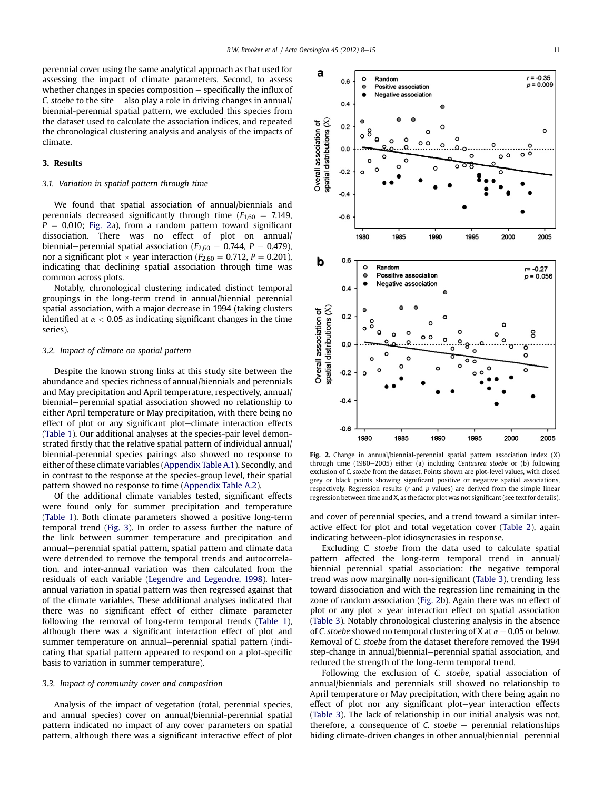perennial cover using the same analytical approach as that used for assessing the impact of climate parameters. Second, to assess whether changes in species composition  $-$  specifically the influx of C. stoebe to the site  $-$  also play a role in driving changes in annual/ biennial-perennial spatial pattern, we excluded this species from the dataset used to calculate the association indices, and repeated the chronological clustering analysis and analysis of the impacts of climate.

## 3. Results

## 3.1. Variation in spatial pattern through time

We found that spatial association of annual/biennials and perennials decreased significantly through time ( $F_{1,60}$  = 7.149,  $P = 0.010$ ; Fig. 2a), from a random pattern toward significant dissociation. There was no effect of plot on annual/ biennial–perennial spatial association ( $F_{2,60} = 0.744$ ,  $P = 0.479$ ), nor a significant plot  $\times$  year interaction ( $F_{2,60} = 0.712$ ,  $P = 0.201$ ), indicating that declining spatial association through time was common across plots.

Notably, chronological clustering indicated distinct temporal groupings in the long-term trend in annual/biennial-perennial spatial association, with a major decrease in 1994 (taking clusters identified at  $\alpha$  < 0.05 as indicating significant changes in the time series).

### 3.2. Impact of climate on spatial pattern

Despite the known strong links at this study site between the abundance and species richness of annual/biennials and perennials and May precipitation and April temperature, respectively, annual/ biennial–perennial spatial association showed no relationship to either April temperature or May precipitation, with there being no effect of plot or any significant plot-climate interaction effects ([Table 1\)](#page-4-0). Our additional analyses at the species-pair level demonstrated firstly that the relative spatial pattern of individual annual/ biennial-perennial species pairings also showed no response to either of these climate variables ([Appendix Table A.1\)](#page-6-0). Secondly, and in contrast to the response at the species-group level, their spatial pattern showed no response to time ([Appendix Table A.2\)](#page-6-0).

Of the additional climate variables tested, significant effects were found only for summer precipitation and temperature ([Table 1\)](#page-4-0). Both climate parameters showed a positive long-term temporal trend ([Fig. 3](#page-4-0)). In order to assess further the nature of the link between summer temperature and precipitation and annual-perennial spatial pattern, spatial pattern and climate data were detrended to remove the temporal trends and autocorrelation, and inter-annual variation was then calculated from the residuals of each variable [\(Legendre and Legendre, 1998\)](#page-7-0). Interannual variation in spatial pattern was then regressed against that of the climate variables. These additional analyses indicated that there was no significant effect of either climate parameter following the removal of long-term temporal trends ([Table 1\)](#page-4-0), although there was a significant interaction effect of plot and summer temperature on annual–perennial spatial pattern (indicating that spatial pattern appeared to respond on a plot-specific basis to variation in summer temperature).

#### 3.3. Impact of community cover and composition

Analysis of the impact of vegetation (total, perennial species, and annual species) cover on annual/biennial-perennial spatial pattern indicated no impact of any cover parameters on spatial pattern, although there was a significant interactive effect of plot



Fig. 2. Change in annual/biennial-perennial spatial pattern association index (X) through time (1980-2005) either (a) including Centaurea stoebe or (b) following exclusion of C. stoebe from the dataset. Points shown are plot-level values, with closed grey or black points showing significant positive or negative spatial associations, respectively. Regression results ( $r$  and  $p$  values) are derived from the simple linear regression between time and X, as the factor plot was not significant (see text for details).

and cover of perennial species, and a trend toward a similar interactive effect for plot and total vegetation cover [\(Table 2](#page-5-0)), again indicating between-plot idiosyncrasies in response.

Excluding C. stoebe from the data used to calculate spatial pattern affected the long-term temporal trend in annual/ biennial–perennial spatial association: the negative temporal trend was now marginally non-significant [\(Table 3\)](#page-5-0), trending less toward dissociation and with the regression line remaining in the zone of random association (Fig. 2b). Again there was no effect of plot or any plot  $\times$  year interaction effect on spatial association ([Table 3\)](#page-5-0). Notably chronological clustering analysis in the absence of C. stoebe showed no temporal clustering of X at  $\alpha = 0.05$  or below. Removal of C. stoebe from the dataset therefore removed the 1994 step-change in annual/biennial–perennial spatial association, and reduced the strength of the long-term temporal trend.

Following the exclusion of C. stoebe, spatial association of annual/biennials and perennials still showed no relationship to April temperature or May precipitation, with there being again no effect of plot nor any significant plot-year interaction effects ([Table 3](#page-5-0)). The lack of relationship in our initial analysis was not, therefore, a consequence of C. stoebe  $-$  perennial relationships hiding climate-driven changes in other annual/biennial-perennial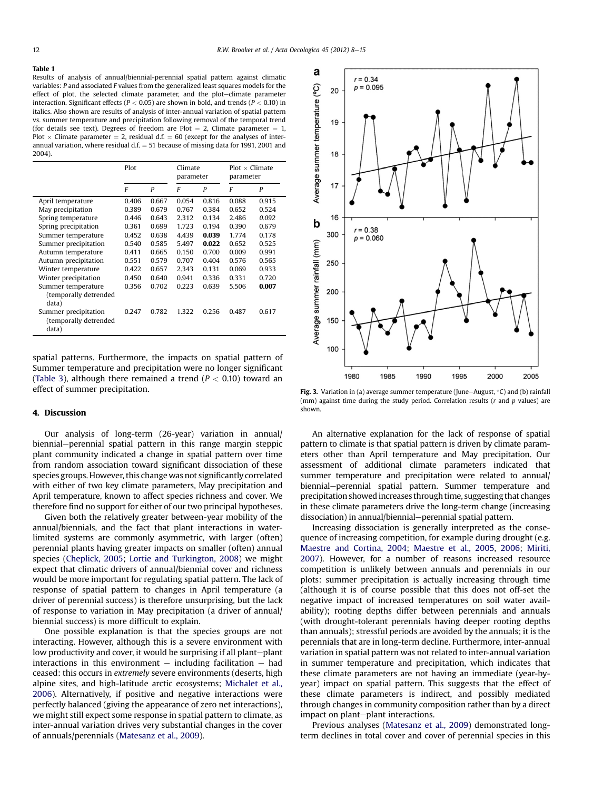#### <span id="page-4-0"></span>Table 1

Results of analysis of annual/biennial-perennial spatial pattern against climatic variables: P and associated F values from the generalized least squares models for the effect of plot, the selected climate parameter, and the plot-climate parameter interaction. Significant effects ( $P < 0.05$ ) are shown in bold, and trends ( $P < 0.10$ ) in italics. Also shown are results of analysis of inter-annual variation of spatial pattern vs. summer temperature and precipitation following removal of the temporal trend (for details see text). Degrees of freedom are Plot  $= 2$ , Climate parameter  $= 1$ , Plot  $\times$  Climate parameter = 2, residual d.f. = 60 (except for the analyses of interannual variation, where residual  $d.f. = 51$  because of missing data for 1991, 2001 and 2004).

|                                                                 | Plot  |       | Climate<br>parameter |       | $Plot \times$ Climate<br>parameter |       |
|-----------------------------------------------------------------|-------|-------|----------------------|-------|------------------------------------|-------|
|                                                                 | F     | P     | F                    | P     | F                                  | P     |
| April temperature                                               | 0.406 | 0.667 | 0.054                | 0.816 | 0.088                              | 0.915 |
| May precipitation                                               | 0.389 | 0.679 | 0.767                | 0.384 | 0.652                              | 0.524 |
| Spring temperature                                              | 0.446 | 0.643 | 2.312                | 0.134 | 2.486                              | 0.092 |
| Spring precipitation                                            | 0.361 | 0.699 | 1.723                | 0.194 | 0.390                              | 0.679 |
| Summer temperature                                              | 0.452 | 0.638 | 4.439                | 0.039 | 1.774                              | 0.178 |
| Summer precipitation                                            | 0.540 | 0.585 | 5.497                | 0.022 | 0.652                              | 0.525 |
| Autumn temperature                                              | 0.411 | 0.665 | 0.150                | 0.700 | 0.009                              | 0.991 |
| Autumn precipitation                                            | 0.551 | 0.579 | 0.707                | 0.404 | 0.576                              | 0.565 |
| Winter temperature                                              | 0.422 | 0.657 | 2.343                | 0.131 | 0.069                              | 0.933 |
| Winter precipitation                                            | 0.450 | 0.640 | 0.941                | 0.336 | 0.331                              | 0.720 |
| Summer temperature<br>(temporally detrended                     | 0.356 | 0.702 | 0.223                | 0.639 | 5.506                              | 0.007 |
| data)<br>Summer precipitation<br>(temporally detrended<br>data) | 0.247 | 0.782 | 1.322                | 0.256 | 0.487                              | 0.617 |

spatial patterns. Furthermore, the impacts on spatial pattern of Summer temperature and precipitation were no longer significant ([Table 3\)](#page-5-0), although there remained a trend ( $P < 0.10$ ) toward an effect of summer precipitation.

#### 4. Discussion

Our analysis of long-term (26-year) variation in annual/ biennial–perennial spatial pattern in this range margin steppic plant community indicated a change in spatial pattern over time from random association toward significant dissociation of these species groups. However, this change was not significantly correlated with either of two key climate parameters, May precipitation and April temperature, known to affect species richness and cover. We therefore find no support for either of our two principal hypotheses.

Given both the relatively greater between-year mobility of the annual/biennials, and the fact that plant interactions in waterlimited systems are commonly asymmetric, with larger (often) perennial plants having greater impacts on smaller (often) annual species ([Cheplick, 2005;](#page-7-0) [Lortie and Turkington, 2008\)](#page-7-0) we might expect that climatic drivers of annual/biennial cover and richness would be more important for regulating spatial pattern. The lack of response of spatial pattern to changes in April temperature (a driver of perennial success) is therefore unsurprising, but the lack of response to variation in May precipitation (a driver of annual/ biennial success) is more difficult to explain.

One possible explanation is that the species groups are not interacting. However, although this is a severe environment with low productivity and cover, it would be surprising if all plant-plant interactions in this environment  $-$  including facilitation  $-$  had ceased: this occurs in extremely severe environments (deserts, high alpine sites, and high-latitude arctic ecosystems; [Michalet et al.,](#page-7-0) [2006](#page-7-0)). Alternatively, if positive and negative interactions were perfectly balanced (giving the appearance of zero net interactions), we might still expect some response in spatial pattern to climate, as inter-annual variation drives very substantial changes in the cover of annuals/perennials ([Matesanz et al., 2009](#page-7-0)).



**Fig. 3.** Variation in (a) average summer temperature (June–August,  $\degree$ C) and (b) rainfall (mm) against time during the study period. Correlation results ( $r$  and  $p$  values) are shown.

An alternative explanation for the lack of response of spatial pattern to climate is that spatial pattern is driven by climate parameters other than April temperature and May precipitation. Our assessment of additional climate parameters indicated that summer temperature and precipitation were related to annual/ biennial-perennial spatial pattern. Summer temperature and precipitation showed increases through time, suggesting that changes in these climate parameters drive the long-term change (increasing dissociation) in annual/biennial-perennial spatial pattern.

Increasing dissociation is generally interpreted as the consequence of increasing competition, for example during drought (e.g. [Maestre and Cortina, 2004;](#page-7-0) [Maestre et al., 2005,](#page-7-0) [2006](#page-7-0); [Miriti,](#page-7-0) [2007\)](#page-7-0). However, for a number of reasons increased resource competition is unlikely between annuals and perennials in our plots: summer precipitation is actually increasing through time (although it is of course possible that this does not off-set the negative impact of increased temperatures on soil water availability); rooting depths differ between perennials and annuals (with drought-tolerant perennials having deeper rooting depths than annuals); stressful periods are avoided by the annuals; it is the perennials that are in long-term decline. Furthermore, inter-annual variation in spatial pattern was not related to inter-annual variation in summer temperature and precipitation, which indicates that these climate parameters are not having an immediate (year-byyear) impact on spatial pattern. This suggests that the effect of these climate parameters is indirect, and possibly mediated through changes in community composition rather than by a direct impact on plant-plant interactions.

Previous analyses [\(Matesanz et al., 2009](#page-7-0)) demonstrated longterm declines in total cover and cover of perennial species in this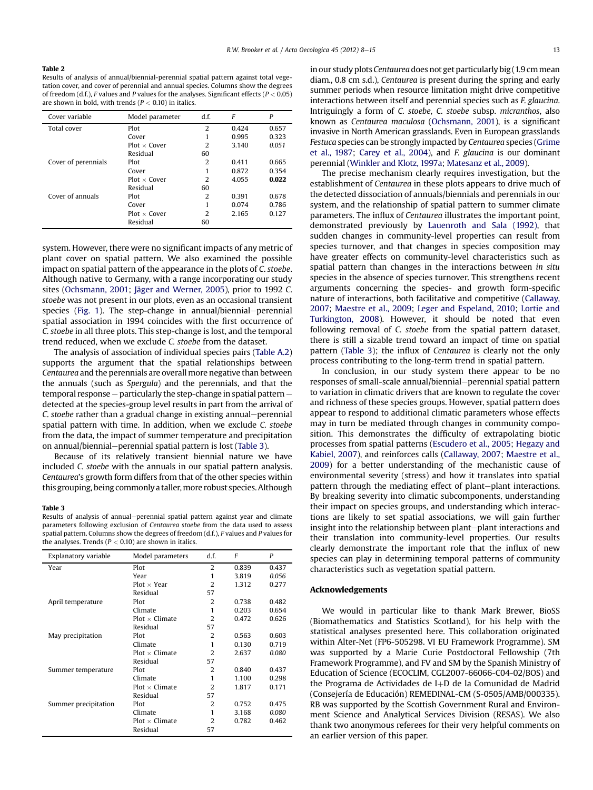<span id="page-5-0"></span>Results of analysis of annual/biennial-perennial spatial pattern against total vegetation cover, and cover of perennial and annual species. Columns show the degrees of freedom (d.f.), F values and P values for the analyses. Significant effects ( $P < 0.05$ ) are shown in bold, with trends ( $P < 0.10$ ) in italics.

| Cover variable      | Model parameter     | d.f. | F     | P     |
|---------------------|---------------------|------|-------|-------|
| Total cover         | Plot                | 2    | 0.424 | 0.657 |
|                     | Cover               |      | 0.995 | 0.323 |
|                     | $Plot \times Cover$ | 2    | 3.140 | 0.051 |
|                     | Residual            | 60   |       |       |
| Cover of perennials | Plot                | 2    | 0.411 | 0.665 |
|                     | Cover               | 1    | 0.872 | 0.354 |
|                     | $Plot \times Cover$ | 2    | 4.055 | 0.022 |
|                     | Residual            | 60   |       |       |
| Cover of annuals    | Plot                | 2    | 0.391 | 0.678 |
|                     | Cover               | 1    | 0.074 | 0.786 |
|                     | $Plot \times Cover$ | 2    | 2.165 | 0.127 |
|                     | Residual            | 60   |       |       |

system. However, there were no significant impacts of any metric of plant cover on spatial pattern. We also examined the possible impact on spatial pattern of the appearance in the plots of C. stoebe. Although native to Germany, with a range incorporating our study sites [\(Ochsmann, 2001](#page-7-0); [Jäger and Werner, 2005\)](#page-7-0), prior to 1992 C. stoebe was not present in our plots, even as an occasional transient species ([Fig. 1\)](#page-1-0). The step-change in annual/biennial-perennial spatial association in 1994 coincides with the first occurrence of C. stoebe in all three plots. This step-change is lost, and the temporal trend reduced, when we exclude C. stoebe from the dataset.

The analysis of association of individual species pairs ([Table A.2\)](#page-6-0) supports the argument that the spatial relationships between Centaurea and the perennials are overall more negative than between the annuals (such as Spergula) and the perennials, and that the temporal response  $-$  particularly the step-change in spatial pattern  $$ detected at the species-group level results in part from the arrival of C. stoebe rather than a gradual change in existing annual–perennial spatial pattern with time. In addition, when we exclude C. stoebe from the data, the impact of summer temperature and precipitation on annual/biennial-perennial spatial pattern is lost (Table 3).

Because of its relatively transient biennial nature we have included C. stoebe with the annuals in our spatial pattern analysis. Centaurea's growth form differs from that of the other species within this grouping, being commonly a taller, more robust species. Although

#### Table 3

Results of analysis of annual–perennial spatial pattern against year and climate parameters following exclusion of Centaurea stoebe from the data used to assess spatial pattern. Columns show the degrees of freedom (d.f.), F values and P values for the analyses. Trends ( $P < 0.10$ ) are shown in italics.

| Explanatory variable | Model parameters      | d.f.           | F     | P     |
|----------------------|-----------------------|----------------|-------|-------|
| Year                 | Plot                  | $\overline{2}$ | 0.839 | 0.437 |
|                      | Year                  | 1              | 3.819 | 0.056 |
|                      | $Plot \times Year$    | 2              | 1.312 | 0.277 |
|                      | Residual              | 57             |       |       |
| April temperature    | Plot                  | 2              | 0.738 | 0.482 |
|                      | Climate               | 1              | 0.203 | 0.654 |
|                      | $Plot \times$ Climate | $\overline{2}$ | 0.472 | 0.626 |
|                      | Residual              | 57             |       |       |
| May precipitation    | Plot                  | 2              | 0.563 | 0.603 |
|                      | Climate               | 1              | 0.130 | 0.719 |
|                      | $Plot \times$ Climate | 2              | 2.637 | 0.080 |
|                      | Residual              | 57             |       |       |
| Summer temperature   | Plot                  | 2              | 0.840 | 0.437 |
|                      | Climate               | 1              | 1.100 | 0.298 |
|                      | $Plot \times$ Climate | $\overline{2}$ | 1.817 | 0.171 |
|                      | Residual              | 57             |       |       |
| Summer precipitation | Plot                  | $\overline{2}$ | 0.752 | 0.475 |
|                      | Climate               | 1              | 3.168 | 0.080 |
|                      | $Plot \times$ Climate | $\mathcal{D}$  | 0.782 | 0.462 |
|                      | Residual              | 57             |       |       |

in our study plots Centaurea does not get particularly big (1.9 cm mean diam., 0.8 cm s.d.), Centaurea is present during the spring and early summer periods when resource limitation might drive competitive interactions between itself and perennial species such as F. glaucina. Intriguingly a form of C. stoebe, C. stoebe subsp. micranthos, also known as Centaurea maculosa ([Ochsmann, 2001\)](#page-7-0), is a significant invasive in North American grasslands. Even in European grasslands Festuca species can be strongly impacted by Centaurea species [\(Grime](#page-7-0) [et al., 1987](#page-7-0); [Carey et al., 2004\)](#page-7-0), and F. glaucina is our dominant perennial ([Winkler and Klotz, 1997a](#page-7-0); [Matesanz et al., 2009\)](#page-7-0).

The precise mechanism clearly requires investigation, but the establishment of Centaurea in these plots appears to drive much of the detected dissociation of annuals/biennials and perennials in our system, and the relationship of spatial pattern to summer climate parameters. The influx of Centaurea illustrates the important point, demonstrated previously by [Lauenroth and Sala \(1992\),](#page-7-0) that sudden changes in community-level properties can result from species turnover, and that changes in species composition may have greater effects on community-level characteristics such as spatial pattern than changes in the interactions between in situ species in the absence of species turnover. This strengthens recent arguments concerning the species- and growth form-specific nature of interactions, both facilitative and competitive [\(Callaway,](#page-7-0) [2007;](#page-7-0) [Maestre et al., 2009](#page-7-0); [Leger and Espeland, 2010](#page-7-0); [Lortie and](#page-7-0) [Turkington, 2008\)](#page-7-0). However, it should be noted that even following removal of C. stoebe from the spatial pattern dataset, there is still a sizable trend toward an impact of time on spatial pattern (Table 3); the influx of Centaurea is clearly not the only process contributing to the long-term trend in spatial pattern.

In conclusion, in our study system there appear to be no responses of small-scale annual/biennial-perennial spatial pattern to variation in climatic drivers that are known to regulate the cover and richness of these species groups. However, spatial pattern does appear to respond to additional climatic parameters whose effects may in turn be mediated through changes in community composition. This demonstrates the difficulty of extrapolating biotic processes from spatial patterns ([Escudero et al., 2005](#page-7-0); [Hegazy and](#page-7-0) [Kabiel, 2007\)](#page-7-0), and reinforces calls [\(Callaway, 2007](#page-7-0); [Maestre et al.,](#page-7-0) [2009\)](#page-7-0) for a better understanding of the mechanistic cause of environmental severity (stress) and how it translates into spatial pattern through the mediating effect of plant-plant interactions. By breaking severity into climatic subcomponents, understanding their impact on species groups, and understanding which interactions are likely to set spatial associations, we will gain further insight into the relationship between plant-plant interactions and their translation into community-level properties. Our results clearly demonstrate the important role that the influx of new species can play in determining temporal patterns of community characteristics such as vegetation spatial pattern.

### Acknowledgements

We would in particular like to thank Mark Brewer, BioSS (Biomathematics and Statistics Scotland), for his help with the statistical analyses presented here. This collaboration originated within Alter-Net (FP6-505298. VI EU Framework Programme). SM was supported by a Marie Curie Postdoctoral Fellowship (7th Framework Programme), and FV and SM by the Spanish Ministry of Education of Science (ECOCLIM, CGL2007-66066-C04-02/BOS) and the Programa de Actividades de I $+D$  de la Comunidad de Madrid (Consejería de Educación) REMEDINAL-CM (S-0505/AMB/000335). RB was supported by the Scottish Government Rural and Environment Science and Analytical Services Division (RESAS). We also thank two anonymous referees for their very helpful comments on an earlier version of this paper.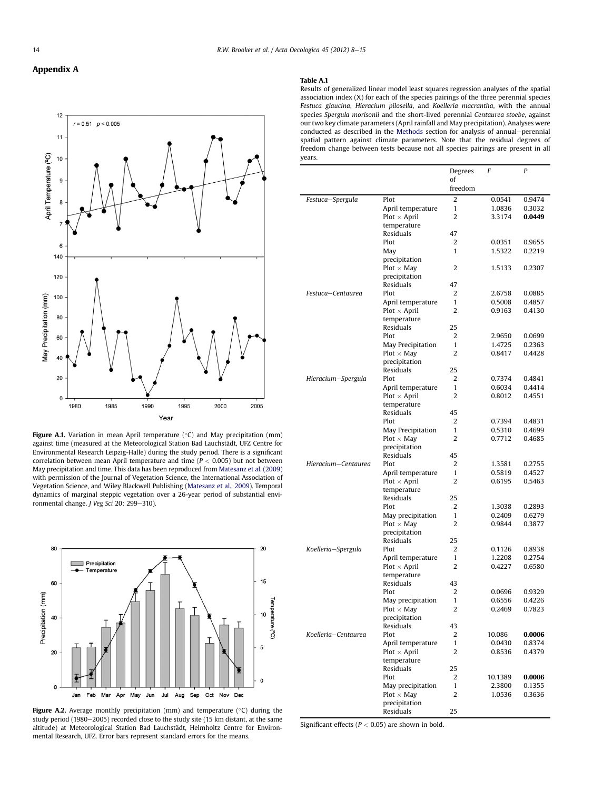## <span id="page-6-0"></span>Appendix A



**Figure A.1.** Variation in mean April temperature (°C) and May precipitation (mm) against time (measured at the Meteorological Station Bad Lauchstädt, UFZ Centre for Environmental Research Leipzig-Halle) during the study period. There is a significant correlation between mean April temperature and time ( $P < 0.005$ ) but not between May precipitation and time. This data has been reproduced from [Matesanz et al. \(2009\)](#page-7-0) with permission of the Journal of Vegetation Science, the International Association of Vegetation Science, and Wiley Blackwell Publishing [\(Matesanz et al., 2009\)](#page-7-0). Temporal dynamics of marginal steppic vegetation over a 26-year period of substantial environmental change. J Veg Sci 20: 299-310).



**Figure A.2.** Average monthly precipitation (mm) and temperature ( $\degree$ C) during the study period (1980 $-$ 2005) recorded close to the study site (15 km distant, at the same altitude) at Meteorological Station Bad Lauchstädt, Helmholtz Centre for Environmental Research, UFZ. Error bars represent standard errors for the means.

#### Table A.1

Results of generalized linear model least squares regression analyses of the spatial association index (X) for each of the species pairings of the three perennial species Festuca glaucina, Hieracium pilosella, and Koelleria macrantha, with the annual species Spergula morisonii and the short-lived perennial Centaurea stoebe, against our two key climate parameters (April rainfall and May precipitation). Analyses were conducted as described in the [Methods](#page-1-0) section for analysis of annual-perennial spatial pattern against climate parameters. Note that the residual degrees of freedom change between tests because not all species pairings are present in all years.

|                     |                                          | Degrees           | F                | P                |
|---------------------|------------------------------------------|-------------------|------------------|------------------|
|                     |                                          | of<br>freedom     |                  |                  |
| Festuca-Spergula    | Plot                                     | $\overline{2}$    | 0.0541           | 0.9474           |
|                     | April temperature                        | 1                 | 1.0836           | 0.3032           |
|                     | ${\sf Plot} \times {\sf April}$          | 2                 | 3.3174           | 0.0449           |
|                     | temperature                              |                   |                  |                  |
|                     | Residuals                                | 47                |                  |                  |
|                     | Plot                                     | 2                 | 0.0351           | 0.9655           |
|                     | May                                      | 1                 | 1.5322           | 0.2219           |
|                     | precipitation                            |                   |                  |                  |
|                     | $Plot \times May$<br>precipitation       | 2                 | 1.5133           | 0.2307           |
|                     | Residuals                                | 47                |                  |                  |
| Festuca-Centaurea   | Plot                                     | 2                 | 2.6758           | 0.0885           |
|                     | April temperature                        | 1                 | 0.5008           | 0.4857           |
|                     | $Plot \times April$                      | $\overline{2}$    | 0.9163           | 0.4130           |
|                     | temperature                              |                   |                  |                  |
|                     | Residuals                                | 25                |                  |                  |
|                     | Plot                                     | 2                 | 2.9650           | 0.0699           |
|                     | May Precipitation                        | $\mathbf{1}$      | 1.4725           | 0.2363           |
|                     | $Plot \times May$<br>precipitation       | 2                 | 0.8417           | 0.4428           |
|                     | Residuals                                | 25                |                  |                  |
| Hieracium-Spergula  | Plot                                     | 2                 | 0.7374           | 0.4841           |
|                     | April temperature                        | $\mathbf{1}$      | 0.6034           | 0.4414           |
|                     | $Plot \times April$                      | 2                 | 0.8012           | 0.4551           |
|                     | temperature                              |                   |                  |                  |
|                     | Residuals                                | 45                |                  |                  |
|                     | Plot                                     | 2                 | 0.7394           | 0.4831           |
|                     | May Precipitation                        | 1                 | 0.5310           | 0.4699           |
|                     | $Plot \times May$                        | $\overline{2}$    | 0.7712           | 0.4685           |
|                     | precipitation                            |                   |                  |                  |
| Hieracium-Centaurea | Residuals<br>Plot                        | 45<br>2           | 1.3581           |                  |
|                     | April temperature                        | 1                 | 0.5819           | 0.2755<br>0.4527 |
|                     | $Plot \times April$                      | 2                 | 0.6195           | 0.5463           |
|                     | temperature                              |                   |                  |                  |
|                     | Residuals                                | 25                |                  |                  |
|                     | Plot                                     | 2                 | 1.3038           | 0.2893           |
|                     | May precipitation                        | 1                 | 0.2409           | 0.6279           |
|                     | $Plot \times May$                        | 2                 | 0.9844           | 0.3877           |
|                     | precipitation                            |                   |                  |                  |
|                     | Residuals<br>Plot                        | 25<br>2           |                  |                  |
| Koelleria-Spergula  | April temperature                        | $\mathbf{1}$      | 0.1126<br>1.2208 | 0.8938<br>0.2754 |
|                     | $Plot \times April$                      | 2                 | 0.4227           | 0.6580           |
|                     | temperature                              |                   |                  |                  |
|                     | Residuals                                | 43                |                  |                  |
|                     | Plot                                     | 2                 | 0.0696           | 0.9329           |
|                     | May precipitation                        | 1                 | 0.6556           | 0.4226           |
|                     | $Plot \times May$                        | 2                 | 0.2469           | 0.7823           |
|                     | precipitation                            |                   |                  |                  |
|                     | Residuals                                | 43                |                  |                  |
| Koelleria-Centaurea | Plot                                     | 2<br>$\mathbf{1}$ | 10.086           | 0.0006           |
|                     | April temperature<br>$Plot \times April$ | 2                 | 0.0430<br>0.8536 | 0.8374<br>0.4379 |
|                     | temperature                              |                   |                  |                  |
|                     | Residuals                                | 25                |                  |                  |
|                     | Plot                                     | 2                 | 10.1389          | 0.0006           |
|                     | May precipitation                        | $\mathbf{1}$      | 2.3800           | 0.1355           |
|                     | $Plot \times May$                        | 2                 | 1.0536           | 0.3636           |
|                     | precipitation                            |                   |                  |                  |
|                     | <b>Residuals</b>                         | 25                |                  |                  |

Significant effects ( $P < 0.05$ ) are shown in bold.